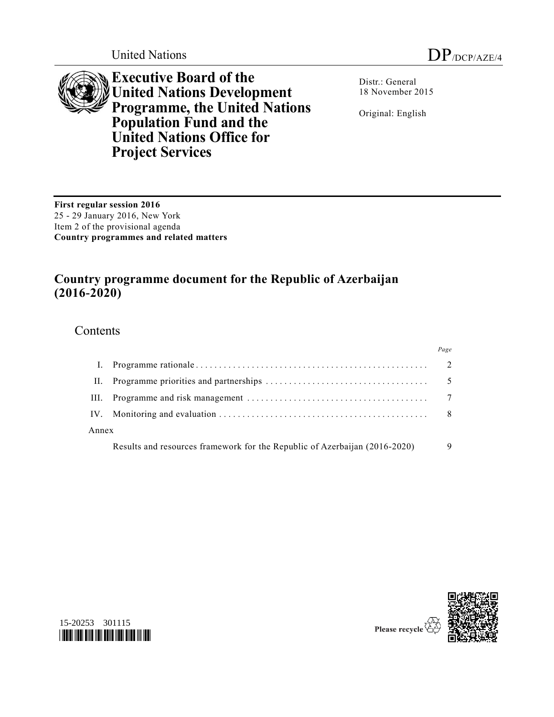



**Executive Board of the United Nations Development Programme, the United Nations Population Fund and the United Nations Office for Project Services**

Distr.: General 18 November 2015

Original: English

**First regular session 2016** 25 - 29 January 2016, New York Item 2 of the provisional agenda **Country programmes and related matters**

# **Country programme document for the Republic of Azerbaijan (2016-2020)**

## **Contents**

|       |                                                                            | Page           |
|-------|----------------------------------------------------------------------------|----------------|
|       |                                                                            | $\overline{2}$ |
| Н.    |                                                                            | 5              |
| Ш.    |                                                                            |                |
|       |                                                                            | 8              |
| Annex |                                                                            |                |
|       | Results and resources framework for the Republic of Azerbaijan (2016-2020) |                |





Please recycle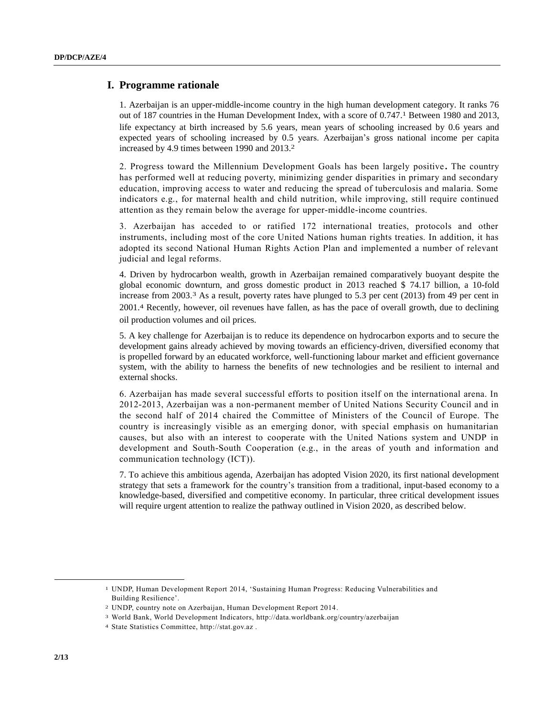## **I. Programme rationale**

1. Azerbaijan is an upper-middle-income country in the high human development category. It ranks 76 out of 187 countries in the Human Development Index, with a score of 0.747. 1 Between 1980 and 2013, life expectancy at birth increased by 5.6 years, mean years of schooling increased by 0.6 years and expected years of schooling increased by 0.5 years. Azerbaijan's gross national income per capita increased by 4.9 times between 1990 and 2013. 2

2. Progress toward the Millennium Development Goals has been largely positive **.** The country has performed well at reducing poverty, minimizing gender disparities in primary and secondary education, improving access to water and reducing the spread of tuberculosis and malaria. Some indicators e.g., for maternal health and child nutrition, while improving, still require continued attention as they remain below the average for upper-middle-income countries.

3. Azerbaijan has acceded to or ratified 172 international treaties, protocols and other instruments, including most of the core United Nations human rights treaties. In addition, it has adopted its second National Human Rights Action Plan and implemented a number of relevant judicial and legal reforms.

4. Driven by hydrocarbon wealth, growth in Azerbaijan remained comparatively buoyant despite the global economic downturn, and gross domestic product in 2013 reached \$ 74.17 billion, a 10-fold increase from 2003.<sup>3</sup> As a result, poverty rates have plunged to 5.3 per cent (2013) from 49 per cent in 2001.4 Recently, however, oil revenues have fallen, as has the pace of overall growth, due to declining oil production volumes and oil prices.

5. A key challenge for Azerbaijan is to reduce its dependence on hydrocarbon exports and to secure the development gains already achieved by moving towards an efficiency-driven, diversified economy that is propelled forward by an educated workforce, well-functioning labour market and efficient governance system, with the ability to harness the benefits of new technologies and be resilient to internal and external shocks.

6. Azerbaijan has made several successful efforts to position itself on the international arena. In 2012-2013, Azerbaijan was a non-permanent member of United Nations Security Council and in the second half of 2014 chaired the Committee of Ministers of the Council of Europe. The country is increasingly visible as an emerging donor, with special emphasis on humanitarian causes, but also with an interest to cooperate with the United Nations system and UNDP in development and South-South Cooperation (e.g., in the areas of youth and information and communication technology (ICT)).

7. To achieve this ambitious agenda, Azerbaijan has adopted Vision 2020, its first national development strategy that sets a framework for the country's transition from a traditional, input-based economy to a knowledge-based, diversified and competitive economy. In particular, three critical development issues will require urgent attention to realize the pathway outlined in Vision 2020, as described below.

 $\overline{\phantom{a}}$ 

<sup>1</sup> UNDP, Human Development Report 2014, 'Sustaining Human Progress: Reducing Vulnerabilities and Building Resilience'.

<sup>2</sup> UNDP, country note on Azerbaijan, Human Development Report 2014.

<sup>3</sup> World Bank, World Development Indicators, http://data.worldbank.org/country/azerbaijan

<sup>4</sup> State Statistics Committee, http://stat.gov.az .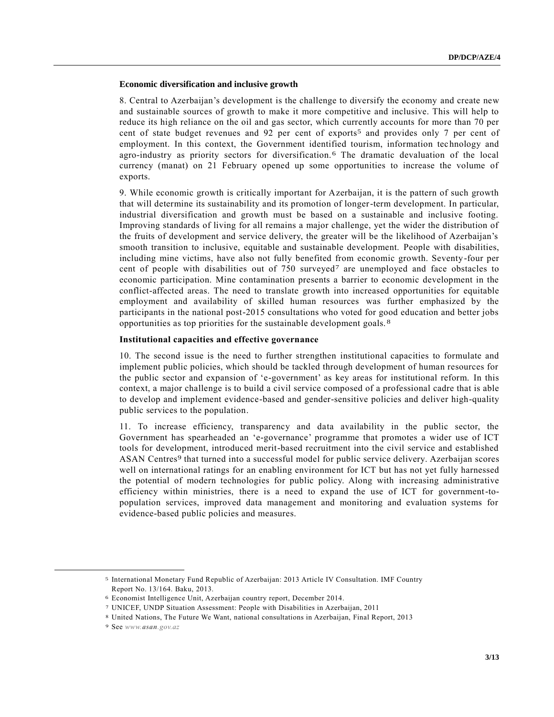## **Economic diversification and inclusive growth**

8. Central to Azerbaijan's development is the challenge to diversify the economy and create new and sustainable sources of growth to make it more competitive and inclusive. This will help to reduce its high reliance on the oil and gas sector, which currently accounts for more than 70 per cent of state budget revenues and 92 per cent of exports5 and provides only 7 per cent of employment. In this context, the Government identified tourism, information technology and agro-industry as priority sectors for diversification. 6 The dramatic devaluation of the local currency (manat) on 21 February opened up some opportunities to increase the volume of exports.

9. While economic growth is critically important for Azerbaijan, it is the pattern of such growth that will determine its sustainability and its promotion of longer-term development. In particular, industrial diversification and growth must be based on a sustainable and inclusive footing. Improving standards of living for all remains a major challenge, yet the wider the distribution of the fruits of development and service delivery, the greater will be the likelihood of Azerbaijan's smooth transition to inclusive, equitable and sustainable development. People with disabilities, including mine victims, have also not fully benefited from economic growth. Seventy-four per cent of people with disabilities out of 750 surveyed7 are unemployed and face obstacles to economic participation. Mine contamination presents a barrier to economic development in the conflict-affected areas. The need to translate growth into increased opportunities for equitable employment and availability of skilled human resources was further emphasized by the participants in the national post-2015 consultations who voted for good education and better jobs opportunities as top priorities for the sustainable development goals. 8

## **Institutional capacities and effective governance**

10. The second issue is the need to further strengthen institutional capacities to formulate and implement public policies, which should be tackled through development of human resources for the public sector and expansion of 'e-government' as key areas for institutional reform. In this context, a major challenge is to build a civil service composed of a professional cadre that is able to develop and implement evidence-based and gender-sensitive policies and deliver high-quality public services to the population.

11. To increase efficiency, transparency and data availability in the public sector, the Government has spearheaded an 'e-governance' programme that promotes a wider use of ICT tools for development, introduced merit-based recruitment into the civil service and established ASAN Centres<sup>9</sup> that turned into a successful model for public service delivery. Azerbaijan scores well on international ratings for an enabling environment for ICT but has not yet fully harnessed the potential of modern technologies for public policy. Along with increasing administrative efficiency within ministries, there is a need to expand the use of ICT for government-topopulation services, improved data management and monitoring and evaluation systems for evidence-based public policies and measures.

l

<sup>5</sup> International Monetary Fund Republic of Azerbaijan: 2013 Article IV Consultation. IMF Country Report No. 13/164. Baku, 2013.

<sup>6</sup> Economist Intelligence Unit, Azerbaijan country report, December 2014.

<sup>7</sup> UNICEF, UNDP Situation Assessment: People with Disabilities in Azerbaijan, 2011

<sup>8</sup> United Nations, The Future We Want, national consultations in Azerbaijan, Final Report, 2013

<sup>9</sup> See *www.asan.gov.az*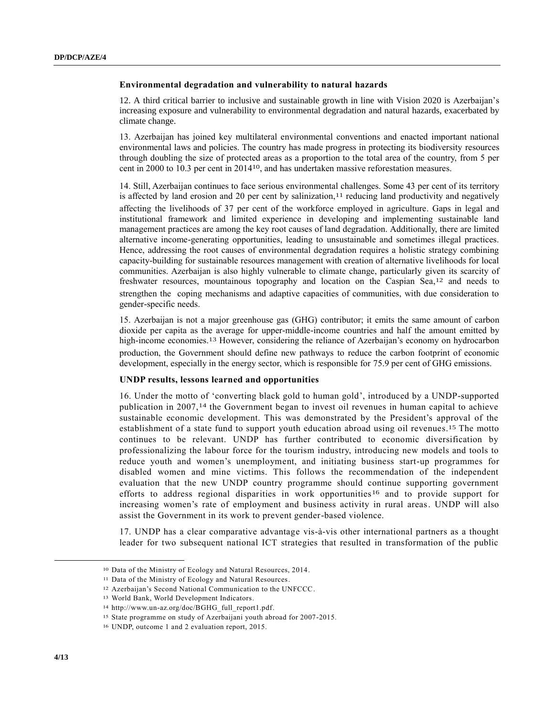### **Environmental degradation and vulnerability to natural hazards**

12. A third critical barrier to inclusive and sustainable growth in line with Vision 2020 is Azerbaijan's increasing exposure and vulnerability to environmental degradation and natural hazards, exacerbated by climate change.

13. Azerbaijan has joined key multilateral environmental conventions and enacted important national environmental laws and policies. The country has made progress in protecting its biodiversity resources through doubling the size of protected areas as a proportion to the total area of the country, from 5 per cent in 2000 to 10.3 per cent in 201410, and has undertaken massive reforestation measures.

14. Still, Azerbaijan continues to face serious environmental challenges. Some 43 per cent of its territory is affected by land erosion and 20 per cent by salinization,<sup>11</sup> reducing land productivity and negatively affecting the livelihoods of 37 per cent of the workforce employed in agriculture. Gaps in legal and institutional framework and limited experience in developing and implementing sustainable land management practices are among the key root causes of land degradation. Additionally, there are limited alternative income-generating opportunities, leading to unsustainable and sometimes illegal practices. Hence, addressing the root causes of environmental degradation requires a holistic strategy combining capacity-building for sustainable resources management with creation of alternative livelihoods for local communities. Azerbaijan is also highly vulnerable to climate change, particularly given its scarcity of freshwater resources, mountainous topography and location on the Caspian Sea,<sup>12</sup> and needs to strengthen the coping mechanisms and adaptive capacities of communities, with due consideration to gender-specific needs.

15. Azerbaijan is not a major greenhouse gas (GHG) contributor; it emits the same amount of carbon dioxide per capita as the average for upper-middle-income countries and half the amount emitted by high-income economies. 13 However, considering the reliance of Azerbaijan's economy on hydrocarbon production, the Government should define new pathways to reduce the carbon footprint of economic development, especially in the energy sector, which is responsible for 75.9 per cent of GHG emissions.

#### **UNDP results, lessons learned and opportunities**

16. Under the motto of 'converting black gold to human gold', introduced by a UNDP-supported publication in 2007,14 the Government began to invest oil revenues in human capital to achieve sustainable economic development. This was demonstrated by the President's approval of the establishment of a state fund to support youth education abroad using oil revenues.15 The motto continues to be relevant. UNDP has further contributed to economic diversification by professionalizing the labour force for the tourism industry, introducing new models and tools to reduce youth and women's unemployment, and initiating business start-up programmes for disabled women and mine victims. This follows the recommendation of the independent evaluation that the new UNDP country programme should continue supporting government efforts to address regional disparities in work opportunities<sup>16</sup> and to provide support for increasing women's rate of employment and business activity in rural areas. UNDP will also assist the Government in its work to prevent gender-based violence.

17. UNDP has a clear comparative advantage vis-à-vis other international partners as a thought leader for two subsequent national ICT strategies that resulted in transformation of the public

 $\overline{\phantom{a}}$ 

<sup>10</sup> Data of the Ministry of Ecology and Natural Resources, 2014.

<sup>11</sup> Data of the Ministry of Ecology and Natural Resources.

<sup>12</sup> Azerbaijan's Second National Communication to the UNFCCC.

<sup>13</sup> World Bank, World Development Indicators.

<sup>14</sup> http://www.un-az.org/doc/BGHG\_full\_report1.pdf.

<sup>15</sup> State programme on study of Azerbaijani youth abroad for 2007-2015.

<sup>16</sup> UNDP, outcome 1 and 2 evaluation report, 2015.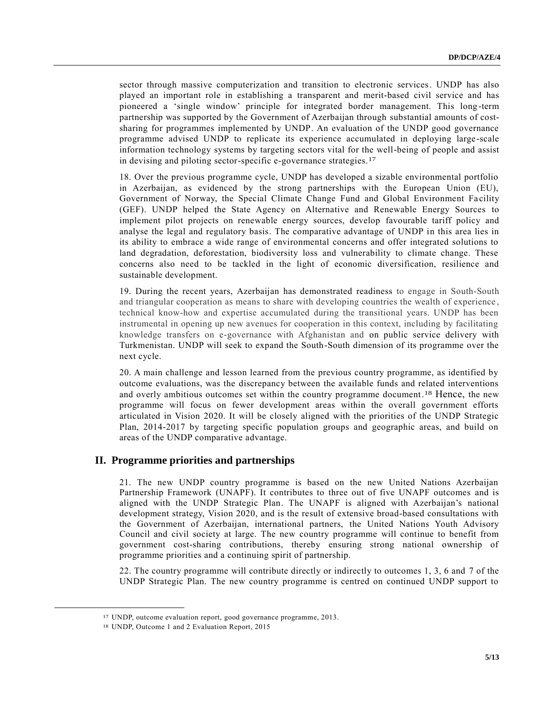sector through massive computerization and transition to electronic services. UNDP has also played an important role in establishing a transparent and merit-based civil service and has pioneered a 'single window' principle for integrated border management. This long -term partnership was supported by the Government of Azerbaijan through substantial amounts of costsharing for programmes implemented by UNDP. An evaluation of the UNDP good governance programme advised UNDP to replicate its experience accumulated in deploying large-scale information technology systems by targeting sectors vital for the well-being of people and assist in devising and piloting sector-specific e-governance strategies. 17

18. Over the previous programme cycle, UNDP has developed a sizable environmental portfolio in Azerbaijan, as evidenced by the strong partnerships with the European Union (EU), Government of Norway, the Special Climate Change Fund and Global Environment Facility (GEF). UNDP helped the State Agency on Alternative and Renewable Energy Sources to implement pilot projects on renewable energy sources, develop favourable tariff policy and analyse the legal and regulatory basis. The comparative advantage of UNDP in this area lies in its ability to embrace a wide range of environmental concerns and offer integrated solutions to land degradation, deforestation, biodiversity loss and vulnerability to climate change. These concerns also need to be tackled in the light of economic diversification, resilience and sustainable development.

19. During the recent years, Azerbaijan has demonstrated readiness to engage in South-South and triangular cooperation as means to share with developing countries the wealth of experience , technical know-how and expertise accumulated during the transitional years. UNDP has been instrumental in opening up new avenues for cooperation in this context, including by facilitating knowledge transfers on e-governance with Afghanistan and on public service delivery with Turkmenistan. UNDP will seek to expand the South-South dimension of its programme over the next cycle.

20. A main challenge and lesson learned from the previous country programme, as identified by outcome evaluations, was the discrepancy between the available funds and related interventions and overly ambitious outcomes set within the country programme document.<sup>18</sup> Hence, the new programme will focus on fewer development areas within the overall government efforts articulated in Vision 2020. It will be closely aligned with the priorities of the UNDP Strategic Plan, 2014-2017 by targeting specific population groups and geographic areas, and build on areas of the UNDP comparative advantage.

## **II. Programme priorities and partnerships**

21. The new UNDP country programme is based on the new United Nations Azerbaijan Partnership Framework (UNAPF). It contributes to three out of five UNAPF outcomes and is aligned with the UNDP Strategic Plan. The UNAPF is aligned with Azerbaijan's national development strategy, Vision 2020, and is the result of extensive broad-based consultations with the Government of Azerbaijan, international partners, the United Nations Youth Advisory Council and civil society at large. The new country programme will continue to benefit from government cost-sharing contributions, thereby ensuring strong national ownership of programme priorities and a continuing spirit of partnership.

22. The country programme will contribute directly or indirectly to outcomes 1, 3, 6 and 7 of the UNDP Strategic Plan. The new country programme is centred on continued UNDP support to

l

<sup>17</sup> UNDP, outcome evaluation report, good governance programme, 2013.

<sup>18</sup> UNDP, Outcome 1 and 2 Evaluation Report, 2015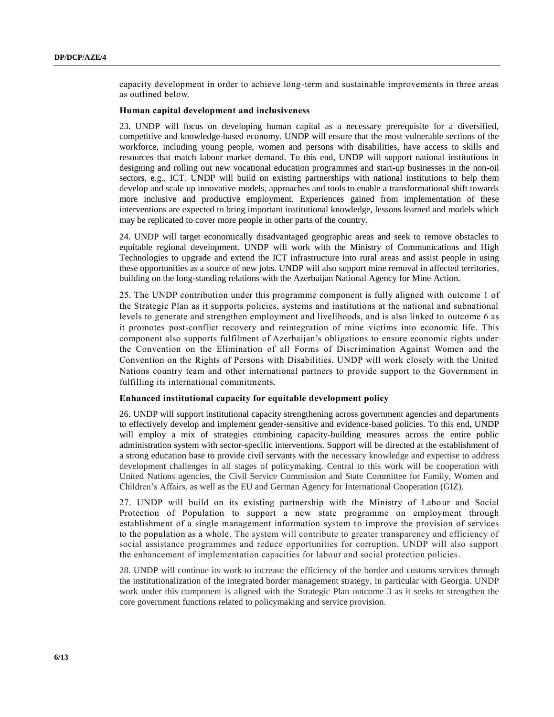capacity development in order to achieve long-term and sustainable improvements in three areas as outlined below.

## **Human capital development and inclusiveness**

23. UNDP will focus on developing human capital as a necessary prerequisite for a diversified, competitive and knowledge-based economy. UNDP will ensure that the most vulnerable sections of the workforce, including young people, women and persons with disabilities, have access to skills and resources that match labour market demand. To this end, UNDP will support national institutions in designing and rolling out new vocational education programmes and start-up businesses in the non-oil sectors, e.g., ICT. UNDP will build on existing partnerships with national institutions to help them develop and scale up innovative models, approaches and tools to enable a transformational shift towards more inclusive and productive employment. Experiences gained from implementation of these interventions are expected to bring important institutional knowledge, lessons learned and models which may be replicated to cover more people in other parts of the country.

24. UNDP will target economically disadvantaged geographic areas and seek to remove obstacles to equitable regional development. UNDP will work with the Ministry of Communications and High Technologies to upgrade and extend the ICT infrastructure into rural areas and assist people in using these opportunities as a source of new jobs. UNDP will also support mine removal in affected territories, building on the long-standing relations with the Azerbaijan National Agency for Mine Action.

25. The UNDP contribution under this programme component is fully aligned with outcome 1 of the Strategic Plan as it supports policies, systems and institutions at the national and subnational levels to generate and strengthen employment and livelihoods, and is also linked to outcome 6 as it promotes post-conflict recovery and reintegration of mine victims into economic life. This component also supports fulfilment of Azerbaijan's obligations to ensure economic rights under the Convention on the Elimination of all Forms of Discrimination Against Women and the Convention on the Rights of Persons with Disabilities. UNDP will work closely with the United Nations country team and other international partners to provide support to the Government in fulfilling its international commitments.

#### **Enhanced institutional capacity for equitable development policy**

26. UNDP will support institutional capacity strengthening across government agencies and departments to effectively develop and implement gender-sensitive and evidence-based policies. To this end, UNDP will employ a mix of strategies combining capacity-building measures across the entire public administration system with sector-specific interventions. Support will be directed at the establishment of a strong education base to provide civil servants with the necessary knowledge and expertise to address development challenges in all stages of policymaking. Central to this work will be cooperation with United Nations agencies, the Civil Service Commission and State Committee for Family, Women and Children's Affairs, as well as the EU and German Agency for International Cooperation (GIZ).

27. UNDP will build on its existing partnership with the Ministry of Labour and Social Protection of Population to support a new state programme on employment through establishment of a single management information system to improve the provision of services to the population as a whole. The system will contribute to greater transparency and efficiency of social assistance programmes and reduce opportunities for corruption. UNDP will also support the enhancement of implementation capacities for labour and social protection policies.

28. UNDP will continue its work to increase the efficiency of the border and customs services through the institutionalization of the integrated border management strategy, in particular with Georgia. UNDP work under this component is aligned with the Strategic Plan outcome 3 as it seeks to strengthen the core government functions related to policymaking and service provision.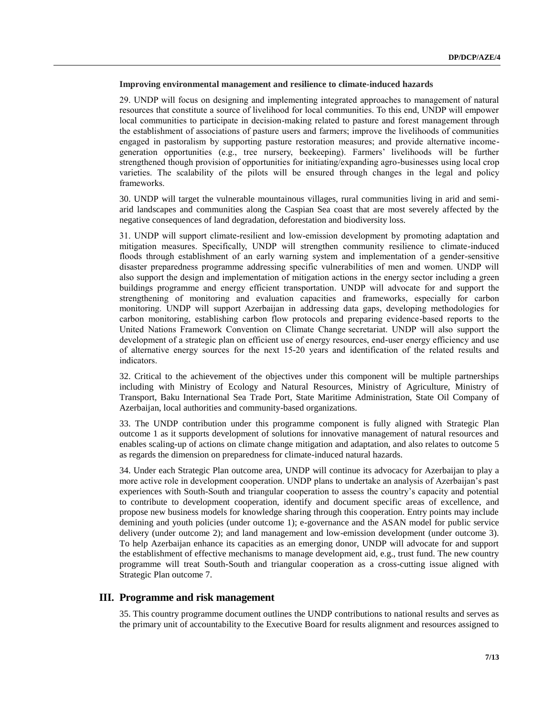### **Improving environmental management and resilience to climate-induced hazards**

29. UNDP will focus on designing and implementing integrated approaches to management of natural resources that constitute a source of livelihood for local communities. To this end, UNDP will empower local communities to participate in decision-making related to pasture and forest management through the establishment of associations of pasture users and farmers; improve the livelihoods of communities engaged in pastoralism by supporting pasture restoration measures; and provide alternative incomegeneration opportunities (e.g., tree nursery, beekeeping). Farmers' livelihoods will be further strengthened though provision of opportunities for initiating/expanding agro-businesses using local crop varieties. The scalability of the pilots will be ensured through changes in the legal and policy frameworks.

30. UNDP will target the vulnerable mountainous villages, rural communities living in arid and semiarid landscapes and communities along the Caspian Sea coast that are most severely affected by the negative consequences of land degradation, deforestation and biodiversity loss.

31. UNDP will support climate-resilient and low-emission development by promoting adaptation and mitigation measures. Specifically, UNDP will strengthen community resilience to climate-induced floods through establishment of an early warning system and implementation of a gender-sensitive disaster preparedness programme addressing specific vulnerabilities of men and women. UNDP will also support the design and implementation of mitigation actions in the energy sector including a green buildings programme and energy efficient transportation. UNDP will advocate for and support the strengthening of monitoring and evaluation capacities and frameworks, especially for carbon monitoring. UNDP will support Azerbaijan in addressing data gaps, developing methodologies for carbon monitoring, establishing carbon flow protocols and preparing evidence-based reports to the United Nations Framework Convention on Climate Change secretariat. UNDP will also support the development of a strategic plan on efficient use of energy resources, end-user energy efficiency and use of alternative energy sources for the next 15-20 years and identification of the related results and indicators.

32. Critical to the achievement of the objectives under this component will be multiple partnerships including with Ministry of Ecology and Natural Resources, Ministry of Agriculture, Ministry of Transport, Baku International Sea Trade Port, State Maritime Administration, State Oil Company of Azerbaijan, local authorities and community-based organizations.

33. The UNDP contribution under this programme component is fully aligned with Strategic Plan outcome 1 as it supports development of solutions for innovative management of natural resources and enables scaling-up of actions on climate change mitigation and adaptation, and also relates to outcome 5 as regards the dimension on preparedness for climate-induced natural hazards.

34. Under each Strategic Plan outcome area, UNDP will continue its advocacy for Azerbaijan to play a more active role in development cooperation. UNDP plans to undertake an analysis of Azerbaijan's past experiences with South-South and triangular cooperation to assess the country's capacity and potential to contribute to development cooperation, identify and document specific areas of excellence, and propose new business models for knowledge sharing through this cooperation. Entry points may include demining and youth policies (under outcome 1); e-governance and the ASAN model for public service delivery (under outcome 2); and land management and low-emission development (under outcome 3). To help Azerbaijan enhance its capacities as an emerging donor, UNDP will advocate for and support the establishment of effective mechanisms to manage development aid, e.g., trust fund. The new country programme will treat South-South and triangular cooperation as a cross-cutting issue aligned with Strategic Plan outcome 7.

## **III. Programme and risk management**

35. This country programme document outlines the UNDP contributions to national results and serves as the primary unit of accountability to the Executive Board for results alignment and resources assigned to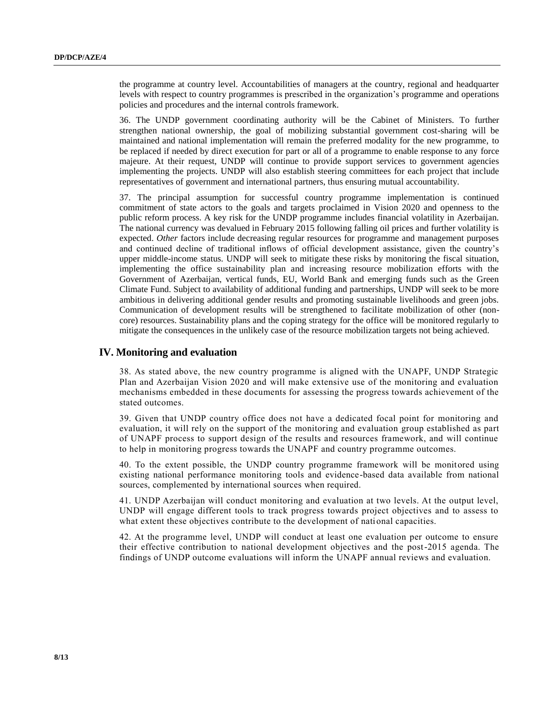the programme at country level. Accountabilities of managers at the country, regional and headquarter levels with respect to country programmes is prescribed in the organization's programme and operations policies and procedures and the internal controls framework.

36. The UNDP government coordinating authority will be the Cabinet of Ministers. To further strengthen national ownership, the goal of mobilizing substantial government cost-sharing will be maintained and national implementation will remain the preferred modality for the new programme, to be replaced if needed by direct execution for part or all of a programme to enable response to any force majeure. At their request, UNDP will continue to provide support services to government agencies implementing the projects. UNDP will also establish steering committees for each project that include representatives of government and international partners, thus ensuring mutual accountability.

37. The principal assumption for successful country programme implementation is continued commitment of state actors to the goals and targets proclaimed in Vision 2020 and openness to the public reform process. A key risk for the UNDP programme includes financial volatility in Azerbaijan. The national currency was devalued in February 2015 following falling oil prices and further volatility is expected. *Other* factors include decreasing regular resources for programme and management purposes and continued decline of traditional inflows of official development assistance, given the country's upper middle-income status. UNDP will seek to mitigate these risks by monitoring the fiscal situation, implementing the office sustainability plan and increasing resource mobilization efforts with the Government of Azerbaijan, vertical funds, EU, World Bank and emerging funds such as the Green Climate Fund. Subject to availability of additional funding and partnerships, UNDP will seek to be more ambitious in delivering additional gender results and promoting sustainable livelihoods and green jobs. Communication of development results will be strengthened to facilitate mobilization of other (noncore) resources. Sustainability plans and the coping strategy for the office will be monitored regularly to mitigate the consequences in the unlikely case of the resource mobilization targets not being achieved.

## **IV. Monitoring and evaluation**

38. As stated above, the new country programme is aligned with the UNAPF, UNDP Strategic Plan and Azerbaijan Vision 2020 and will make extensive use of the monitoring and evaluation mechanisms embedded in these documents for assessing the progress towards achievement of the stated outcomes.

39. Given that UNDP country office does not have a dedicated focal point for monitoring and evaluation, it will rely on the support of the monitoring and evaluation group established as part of UNAPF process to support design of the results and resources framework, and will continue to help in monitoring progress towards the UNAPF and country programme outcomes.

40. To the extent possible, the UNDP country programme framework will be monitored using existing national performance monitoring tools and evidence-based data available from national sources, complemented by international sources when required.

41. UNDP Azerbaijan will conduct monitoring and evaluation at two levels. At the output level, UNDP will engage different tools to track progress towards project objectives and to assess to what extent these objectives contribute to the development of national capacities.

42. At the programme level, UNDP will conduct at least one evaluation per outcome to ensure their effective contribution to national development objectives and the post-2015 agenda. The findings of UNDP outcome evaluations will inform the UNAPF annual reviews and evaluation.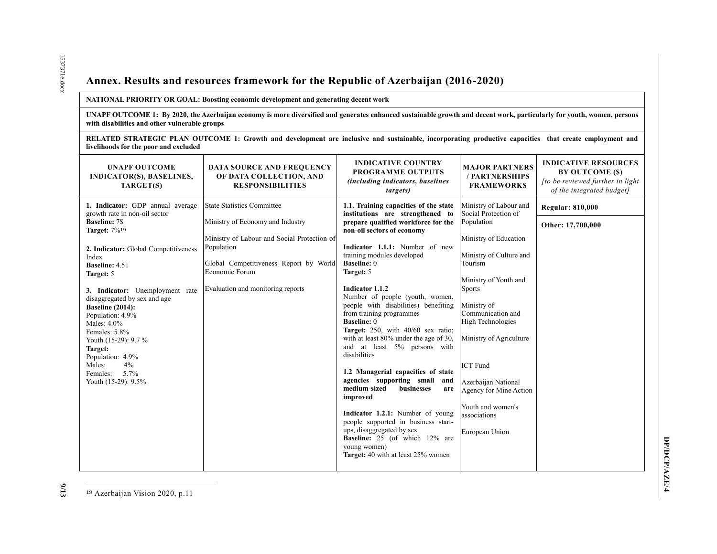# **Annex. Results and resources framework for the Republic of Azerbaijan (2016-2020)**

#### **NATIONAL PRIORITY OR GOAL: Boosting economic development and generating decent work**

**UNAPF OUTCOME 1: By 2020, the Azerbaijan economy is more diversified and generates enhanced sustainable growth and decent work, particularly for youth, women, persons with disabilities and other vulnerable groups** 

**RELATED STRATEGIC PLAN OUTCOME 1: Growth and development are inclusive and sustainable, incorporating productive capacities that create employment and livelihoods for the poor and excluded**

| <b>UNAPF OUTCOME</b><br><b>INDICATOR(S), BASELINES,</b><br>TARGET(S)                                                                                                                                                                                                                                                                                                                                                                                                        | <b>DATA SOURCE AND FREQUENCY</b><br>OF DATA COLLECTION, AND<br><b>RESPONSIBILITIES</b>                                                                                                                                              | <b>INDICATIVE COUNTRY</b><br><b>PROGRAMME OUTPUTS</b><br><i>(including indicators, baselines)</i><br><i>targets</i> )                                                                                                                                                                                                                                                                                                                                                                                                                                                                                                                                                                                                                                                                                                                                               | <b>MAJOR PARTNERS</b><br>/ PARTNERSHIPS<br><b>FRAMEWORKS</b>                                                                                                                                                                                                                                                                                                                                | <b>INDICATIVE RESOURCES</b><br>BY OUTCOME (\$)<br>[to be reviewed further in light<br>of the integrated budget] |
|-----------------------------------------------------------------------------------------------------------------------------------------------------------------------------------------------------------------------------------------------------------------------------------------------------------------------------------------------------------------------------------------------------------------------------------------------------------------------------|-------------------------------------------------------------------------------------------------------------------------------------------------------------------------------------------------------------------------------------|---------------------------------------------------------------------------------------------------------------------------------------------------------------------------------------------------------------------------------------------------------------------------------------------------------------------------------------------------------------------------------------------------------------------------------------------------------------------------------------------------------------------------------------------------------------------------------------------------------------------------------------------------------------------------------------------------------------------------------------------------------------------------------------------------------------------------------------------------------------------|---------------------------------------------------------------------------------------------------------------------------------------------------------------------------------------------------------------------------------------------------------------------------------------------------------------------------------------------------------------------------------------------|-----------------------------------------------------------------------------------------------------------------|
| 1. Indicator: GDP annual average<br>growth rate in non-oil sector<br><b>Baseline: 7\$</b><br><b>Target: 7%19</b><br>2. Indicator: Global Competitiveness<br>Index<br><b>Baseline: 4.51</b><br>Target: 5<br>3. Indicator: Unemployment rate<br>disaggregated by sex and age<br><b>Baseline (2014):</b><br>Population: 4.9%<br>Males: 4.0%<br>Females: 5.8%<br>Youth (15-29): 9.7 %<br>Target:<br>Population: 4.9%<br>Males:<br>4%<br>Females:<br>5.7%<br>Youth (15-29): 9.5% | <b>State Statistics Committee</b><br>Ministry of Economy and Industry<br>Ministry of Labour and Social Protection of<br>Population<br>Global Competitiveness Report by World<br>Economic Forum<br>Evaluation and monitoring reports | 1.1. Training capacities of the state<br>institutions are strengthened to<br>prepare qualified workforce for the<br>non-oil sectors of economy<br>Indicator 1.1.1: Number of new<br>training modules developed<br><b>Baseline: 0</b><br>Target: 5<br>Indicator 1.1.2<br>Number of people (youth, women,<br>people with disabilities) benefiting<br>from training programmes<br><b>Baseline: 0</b><br>Target: 250, with 40/60 sex ratio;<br>with at least 80% under the age of 30,<br>and at least 5% persons with<br>disabilities<br>1.2 Managerial capacities of state<br>agencies supporting small<br>and<br>medium-sized<br>businesses<br>are<br>improved<br>Indicator 1.2.1: Number of young<br>people supported in business start-<br>ups, disaggregated by sex<br><b>Baseline:</b> 25 (of which 12% are<br>young women)<br>Target: 40 with at least 25% women | Ministry of Labour and<br>Social Protection of<br>Population<br>Ministry of Education<br>Ministry of Culture and<br>Tourism<br>Ministry of Youth and<br><b>Sports</b><br>Ministry of<br>Communication and<br><b>High Technologies</b><br>Ministry of Agriculture<br><b>ICT</b> Fund<br>Azerbaijan National<br>Agency for Mine Action<br>Youth and women's<br>associations<br>European Union | <b>Regular: 810,000</b><br>Other: 17,700,000                                                                    |
|                                                                                                                                                                                                                                                                                                                                                                                                                                                                             |                                                                                                                                                                                                                                     |                                                                                                                                                                                                                                                                                                                                                                                                                                                                                                                                                                                                                                                                                                                                                                                                                                                                     |                                                                                                                                                                                                                                                                                                                                                                                             |                                                                                                                 |

19 Azerbaijan Vision 2020, p.11

l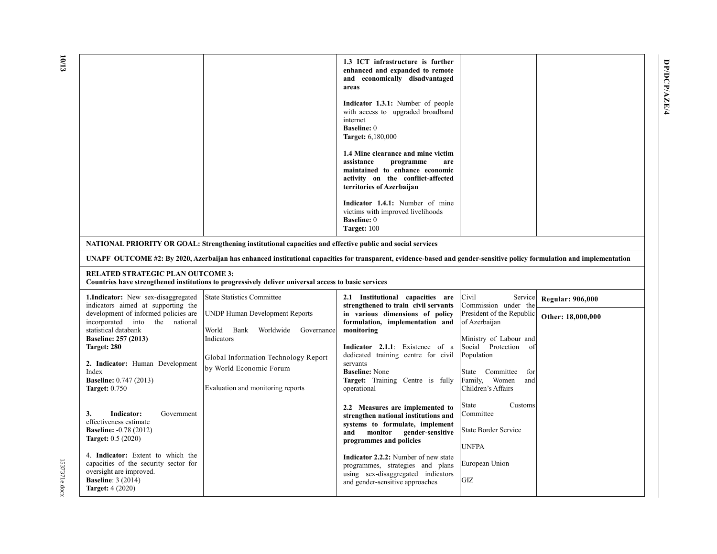|                                                                                                                                                           |                                                                                                                                                                        | 1.3 ICT infrastructure is further<br>enhanced and expanded to remote<br>and economically disadvantaged<br>areas<br>Indicator 1.3.1: Number of people<br>with access to upgraded broadband<br>internet<br><b>Baseline: 0</b><br><b>Target: 6,180,000</b><br>1.4 Mine clearance and mine victim |                                                                                        |                                              |
|-----------------------------------------------------------------------------------------------------------------------------------------------------------|------------------------------------------------------------------------------------------------------------------------------------------------------------------------|-----------------------------------------------------------------------------------------------------------------------------------------------------------------------------------------------------------------------------------------------------------------------------------------------|----------------------------------------------------------------------------------------|----------------------------------------------|
|                                                                                                                                                           |                                                                                                                                                                        | assistance<br>programme<br>are<br>maintained to enhance economic<br>activity on the conflict-affected<br>territories of Azerbaijan                                                                                                                                                            |                                                                                        |                                              |
|                                                                                                                                                           |                                                                                                                                                                        | Indicator 1.4.1: Number of mine<br>victims with improved livelihoods<br><b>Baseline: 0</b><br>Target: 100                                                                                                                                                                                     |                                                                                        |                                              |
|                                                                                                                                                           | NATIONAL PRIORITY OR GOAL: Strengthening institutional capacities and effective public and social services                                                             |                                                                                                                                                                                                                                                                                               |                                                                                        |                                              |
|                                                                                                                                                           | UNAPF OUTCOME #2: By 2020, Azerbaijan has enhanced institutional capacities for transparent, evidence-based and gender-sensitive policy formulation and implementation |                                                                                                                                                                                                                                                                                               |                                                                                        |                                              |
| <b>RELATED STRATEGIC PLAN OUTCOME 3:</b>                                                                                                                  | Countries have strengthened institutions to progressively deliver universal access to basic services                                                                   |                                                                                                                                                                                                                                                                                               |                                                                                        |                                              |
| <b>1.Indicator:</b> New sex-disaggregated<br>indicators aimed at supporting the<br>development of informed policies are<br>incorporated into the national | <b>State Statistics Committee</b><br><b>UNDP Human Development Reports</b>                                                                                             | 2.1 Institutional capacities are<br>strengthened to train civil servants<br>in various dimensions of policy<br>formulation, implementation and                                                                                                                                                | Civil<br>Service<br>Commission under the<br>President of the Republic<br>of Azerbaijan | <b>Regular: 906,000</b><br>Other: 18,000,000 |
| statistical databank<br><b>Baseline: 257 (2013)</b><br>Target: 280                                                                                        | World<br>Bank<br>Worldwide<br>Governance<br>Indicators<br>Global Information Technology Report                                                                         | monitoring<br>Indicator 2.1.1: Existence of a<br>dedicated training centre for civil                                                                                                                                                                                                          | Ministry of Labour and<br>Social Protection<br>of<br>Population                        |                                              |
| 2. Indicator: Human Development<br>Index<br><b>Baseline:</b> 0.747 (2013)<br><b>Target: 0.750</b>                                                         | by World Economic Forum<br>Evaluation and monitoring reports                                                                                                           | servants<br><b>Baseline: None</b><br>Target: Training Centre is fully<br>operational                                                                                                                                                                                                          | State Committee<br>for<br>Family, Women<br>and<br>Children's Affairs                   |                                              |
| Indicator:<br>3.<br>Government<br>effectiveness estimate<br><b>Baseline: -0.78 (2012)</b><br>Target: $0.5(2020)$                                          |                                                                                                                                                                        | 2.2 Measures are implemented to<br>strengthen national institutions and<br>systems to formulate, implement<br>monitor<br>gender-sensitive<br>and<br>programmes and policies                                                                                                                   | State<br>Customs<br>Committee<br>State Border Service<br><b>UNFPA</b>                  |                                              |
| 4. Indicator: Extent to which the<br>capacities of the security sector for<br>oversight are improved.                                                     |                                                                                                                                                                        | <b>Indicator 2.2.2:</b> Number of new state                                                                                                                                                                                                                                                   | European Union                                                                         |                                              |

**DP/DCP/AZE/4**

DP/DCP/AZE/4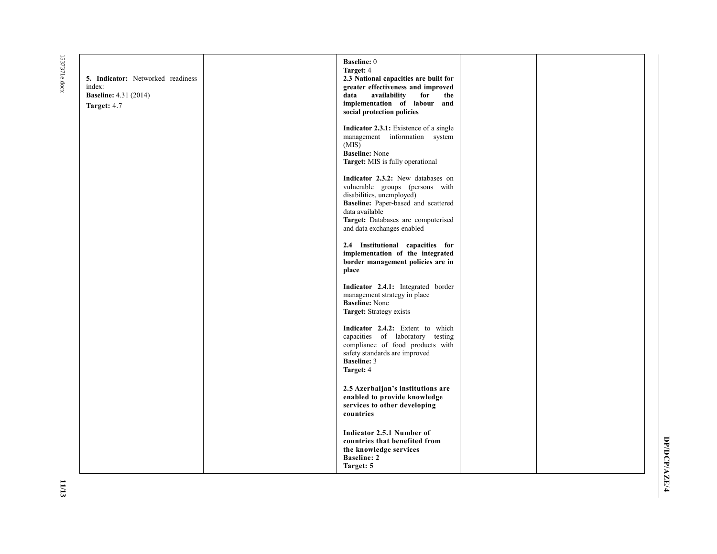1537371e.docx 1537371e.docx

| <b>5. Indicator:</b> Networked readiness<br>index:<br><b>Baseline:</b> 4.31 (2014)<br>Target: 4.7 | <b>Baseline: 0</b><br>Target: 4<br>2.3 National capacities are built for<br>greater effectiveness and improved<br>availability<br>for<br>data<br>the<br>implementation of labour and<br>social protection policies             |  |
|---------------------------------------------------------------------------------------------------|--------------------------------------------------------------------------------------------------------------------------------------------------------------------------------------------------------------------------------|--|
|                                                                                                   | <b>Indicator 2.3.1:</b> Existence of a single<br>management information system<br>(MIS)<br><b>Baseline:</b> None<br>Target: MIS is fully operational                                                                           |  |
|                                                                                                   | Indicator 2.3.2: New databases on<br>vulnerable groups (persons with<br>disabilities, unemployed)<br>Baseline: Paper-based and scattered<br>data available<br>Target: Databases are computerised<br>and data exchanges enabled |  |
|                                                                                                   | 2.4 Institutional capacities for<br>implementation of the integrated<br>border management policies are in<br>place                                                                                                             |  |
|                                                                                                   | Indicator 2.4.1: Integrated border<br>management strategy in place<br><b>Baseline:</b> None<br>Target: Strategy exists                                                                                                         |  |
|                                                                                                   | Indicator 2.4.2: Extent to which<br>capacities of laboratory testing<br>compliance of food products with<br>safety standards are improved<br><b>Baseline: 3</b><br>Target: 4                                                   |  |
|                                                                                                   | 2.5 Azerbaijan's institutions are<br>enabled to provide knowledge<br>services to other developing<br>countries                                                                                                                 |  |
|                                                                                                   | Indicator 2.5.1 Number of<br>countries that benefited from<br>the knowledge services<br><b>Baseline: 2</b><br>Target: 5                                                                                                        |  |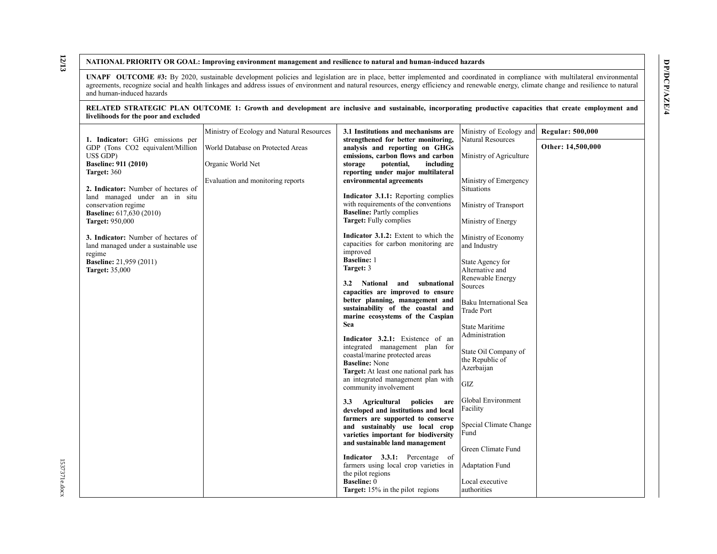DP/DCP/AZE/4 **DP/DCP/AZE/4**

#### **NATIONAL PRIORITY OR GOAL: Improving environment management and resilience to natural and human-induced hazards**

**UNAPF OUTCOME #3:** By 2020, sustainable development policies and legislation are in place, better implemented and coordinated in compliance with multilateral environmental agreements, recognize social and health linkages and address issues of environment and natural resources, energy efficiency and renewable energy, climate change and resilience to natural and human-induced hazards

#### **RELATED STRATEGIC PLAN OUTCOME 1: Growth and development are inclusive and sustainable, incorporating productive capacities that create employment and livelihoods for the poor and excluded**

|                                                                     | Ministry of Ecology and Natural Resources | 3.1 Institutions and mechanisms are                                          | Ministry of Ecology and                       | <b>Regular: 500,000</b> |
|---------------------------------------------------------------------|-------------------------------------------|------------------------------------------------------------------------------|-----------------------------------------------|-------------------------|
| 1. Indicator: GHG emissions per<br>GDP (Tons CO2 equivalent/Million | World Database on Protected Areas         | strengthened for better monitoring,<br>analysis and reporting on GHGs        | <b>Natural Resources</b>                      | Other: 14,500,000       |
| US\$ GDP)                                                           |                                           | emissions, carbon flows and carbon                                           | Ministry of Agriculture                       |                         |
| <b>Baseline: 911 (2010)</b><br>Target: 360                          | Organic World Net                         | storage<br>potential,<br>including<br>reporting under major multilateral     |                                               |                         |
| 2. Indicator: Number of hectares of                                 | Evaluation and monitoring reports         | environmental agreements                                                     | Ministry of Emergency<br><b>Situations</b>    |                         |
| land managed under an in situ                                       |                                           | Indicator 3.1.1: Reporting complies                                          |                                               |                         |
| conservation regime<br><b>Baseline:</b> 617,630 (2010)              |                                           | with requirements of the conventions<br><b>Baseline:</b> Partly complies     | Ministry of Transport                         |                         |
| <b>Target: 950,000</b>                                              |                                           | Target: Fully complies                                                       | Ministry of Energy                            |                         |
| 3. Indicator: Number of hectares of                                 |                                           | Indicator 3.1.2: Extent to which the                                         | Ministry of Economy                           |                         |
| land managed under a sustainable use                                |                                           | capacities for carbon monitoring are<br>improved                             | and Industry                                  |                         |
| regime<br><b>Baseline:</b> 21,959 (2011)                            |                                           | <b>Baseline: 1</b>                                                           | State Agency for                              |                         |
| <b>Target: 35,000</b>                                               |                                           | Target: 3                                                                    | Alternative and<br>Renewable Energy           |                         |
|                                                                     |                                           | National and<br>subnational<br>3.2                                           | Sources                                       |                         |
|                                                                     |                                           | capacities are improved to ensure<br>better planning, management and         | Baku International Sea                        |                         |
|                                                                     |                                           | sustainability of the coastal and<br>marine ecosystems of the Caspian        | <b>Trade Port</b>                             |                         |
|                                                                     |                                           | Sea                                                                          | State Maritime                                |                         |
|                                                                     |                                           | Indicator 3.2.1: Existence of an                                             | Administration                                |                         |
|                                                                     |                                           | integrated management plan for<br>coastal/marine protected areas             | State Oil Company of                          |                         |
|                                                                     |                                           | <b>Baseline: None</b>                                                        | the Republic of<br>Azerbaijan                 |                         |
|                                                                     |                                           | Target: At least one national park has<br>an integrated management plan with |                                               |                         |
|                                                                     |                                           | community involvement                                                        | $\ensuremath{\mathrm{G}\mathrm{I}\mathrm{Z}}$ |                         |
|                                                                     |                                           | Agricultural<br>3.3<br>policies<br>are                                       | Global Environment<br>Facility                |                         |
|                                                                     |                                           | developed and institutions and local<br>farmers are supported to conserve    |                                               |                         |
|                                                                     |                                           | and sustainably use local crop                                               | Special Climate Change<br>Fund                |                         |
|                                                                     |                                           | varieties important for biodiversity<br>and sustainable land management      |                                               |                         |
|                                                                     |                                           | Indicator 3.3.1: Percentage of                                               | Green Climate Fund                            |                         |
|                                                                     |                                           | farmers using local crop varieties in                                        | <b>Adaptation Fund</b>                        |                         |
|                                                                     |                                           | the pilot regions<br><b>Baseline: 0</b>                                      | Local executive                               |                         |
|                                                                     |                                           | Target: 15% in the pilot regions                                             | authorities                                   |                         |